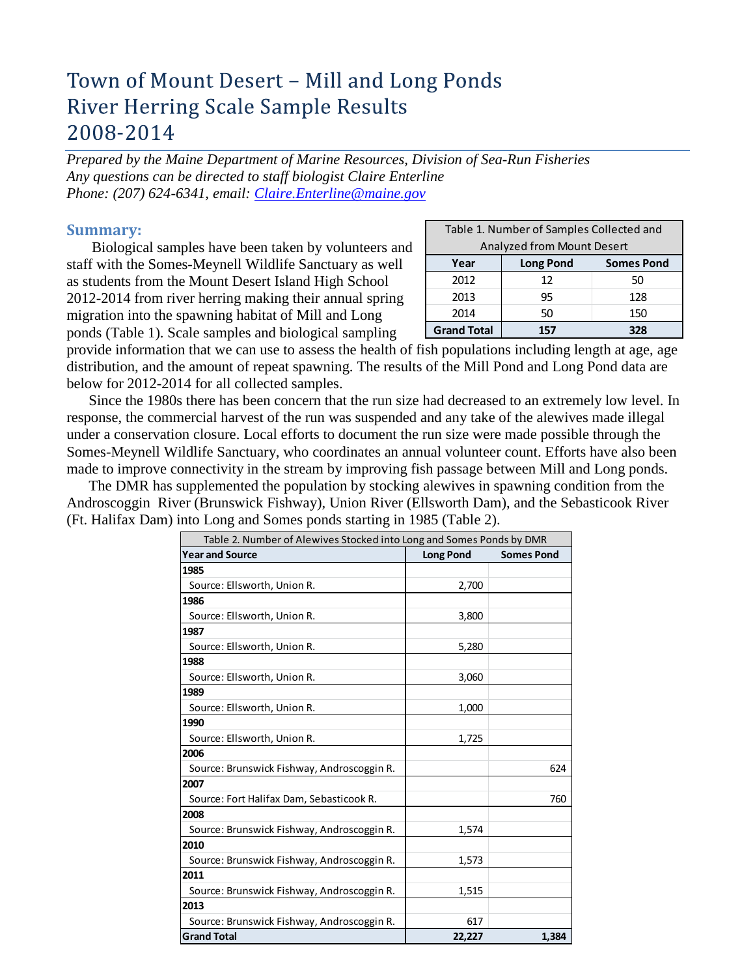# Town of Mount Desert - Mill and Long Ponds **River Herring Scale Sample Results** 2008-2014

*Prepared by the Maine Department of Marine Resources, Division of Sea-Run Fisheries Any questions can be directed to staff biologist Claire Enterline Phone: (207) 624-6341, email: [Claire.Enterline@maine.gov](mailto:Claire.Enterline@maine.gov)*

### **Summary:**

Biological samples have been taken by volunteers and staff with the Somes-Meynell Wildlife Sanctuary as well as students from the Mount Desert Island High School 2012-2014 from river herring making their annual spring migration into the spawning habitat of Mill and Long ponds (Table 1). Scale samples and biological sampling

| Table 1. Number of Samples Collected and |                                       |     |  |  |  |  |  |
|------------------------------------------|---------------------------------------|-----|--|--|--|--|--|
| Analyzed from Mount Desert               |                                       |     |  |  |  |  |  |
| Year                                     | <b>Somes Pond</b><br><b>Long Pond</b> |     |  |  |  |  |  |
| 2012                                     | 12                                    | 50  |  |  |  |  |  |
| 2013                                     | 95                                    | 128 |  |  |  |  |  |
| 2014                                     | 50                                    | 150 |  |  |  |  |  |
| <b>Grand Total</b><br>57                 |                                       |     |  |  |  |  |  |

provide information that we can use to assess the health of fish populations including length at age, age distribution, and the amount of repeat spawning. The results of the Mill Pond and Long Pond data are below for 2012-2014 for all collected samples.

Since the 1980s there has been concern that the run size had decreased to an extremely low level. In response, the commercial harvest of the run was suspended and any take of the alewives made illegal under a conservation closure. Local efforts to document the run size were made possible through the Somes-Meynell Wildlife Sanctuary, who coordinates an annual volunteer count. Efforts have also been made to improve connectivity in the stream by improving fish passage between Mill and Long ponds.

The DMR has supplemented the population by stocking alewives in spawning condition from the Androscoggin River (Brunswick Fishway), Union River (Ellsworth Dam), and the Sebasticook River (Ft. Halifax Dam) into Long and Somes ponds starting in 1985 (Table 2).

| Table 2. Number of Alewives Stocked into Long and Somes Ponds by DMR |                  |                   |
|----------------------------------------------------------------------|------------------|-------------------|
| <b>Year and Source</b>                                               | <b>Long Pond</b> | <b>Somes Pond</b> |
| 1985                                                                 |                  |                   |
| Source: Ellsworth, Union R.                                          | 2,700            |                   |
| 1986                                                                 |                  |                   |
| Source: Ellsworth, Union R.                                          | 3,800            |                   |
| 1987                                                                 |                  |                   |
| Source: Ellsworth, Union R.                                          | 5,280            |                   |
| 1988                                                                 |                  |                   |
| Source: Ellsworth, Union R.                                          | 3,060            |                   |
| 1989                                                                 |                  |                   |
| Source: Ellsworth, Union R.                                          | 1,000            |                   |
| 1990                                                                 |                  |                   |
| Source: Ellsworth, Union R.                                          | 1,725            |                   |
| 2006                                                                 |                  |                   |
| Source: Brunswick Fishway, Androscoggin R.                           |                  | 624               |
| 2007                                                                 |                  |                   |
| Source: Fort Halifax Dam, Sebasticook R.                             |                  | 760               |
| 2008                                                                 |                  |                   |
| Source: Brunswick Fishway, Androscoggin R.                           | 1,574            |                   |
| 2010                                                                 |                  |                   |
| Source: Brunswick Fishway, Androscoggin R.                           | 1,573            |                   |
| 2011                                                                 |                  |                   |
| Source: Brunswick Fishway, Androscoggin R.                           | 1,515            |                   |
| 2013                                                                 |                  |                   |
| Source: Brunswick Fishway, Androscoggin R.                           | 617              |                   |
| <b>Grand Total</b>                                                   | 22,227           | 1,384             |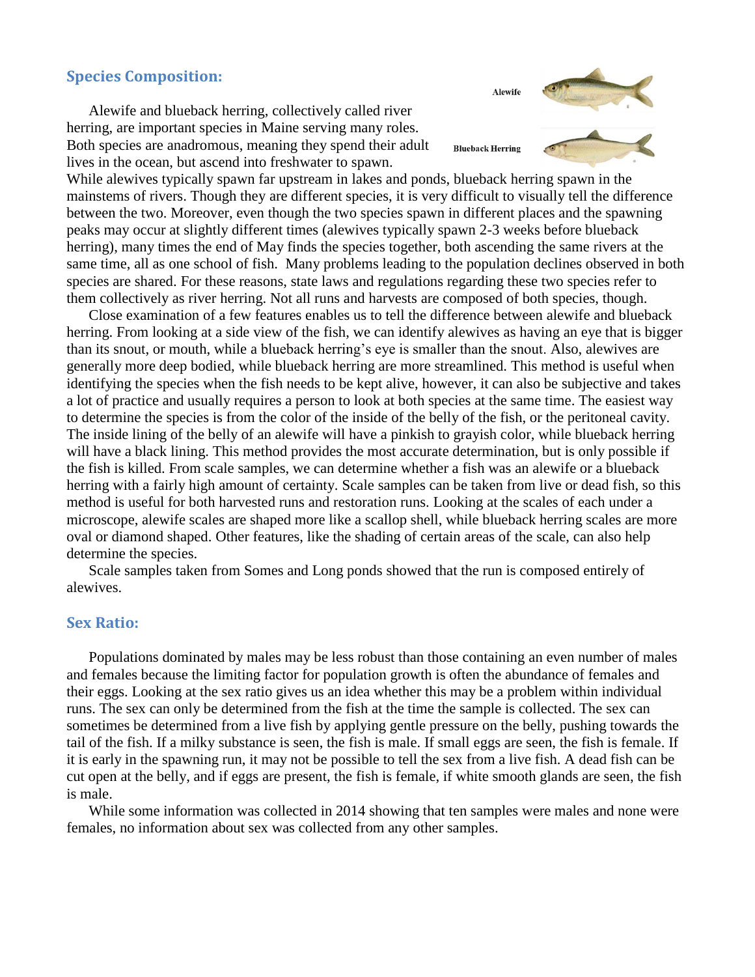## **Species Composition:**

Alewife and blueback herring, collectively called river herring, are important species in Maine serving many roles. Both species are anadromous, meaning they spend their adult lives in the ocean, but ascend into freshwater to spawn.

While alewives typically spawn far upstream in lakes and ponds, blueback herring spawn in the mainstems of rivers. Though they are different species, it is very difficult to visually tell the difference between the two. Moreover, even though the two species spawn in different places and the spawning peaks may occur at slightly different times (alewives typically spawn 2-3 weeks before blueback herring), many times the end of May finds the species together, both ascending the same rivers at the same time, all as one school of fish. Many problems leading to the population declines observed in both species are shared. For these reasons, state laws and regulations regarding these two species refer to them collectively as river herring. Not all runs and harvests are composed of both species, though.

Close examination of a few features enables us to tell the difference between alewife and blueback herring. From looking at a side view of the fish, we can identify alewives as having an eye that is bigger than its snout, or mouth, while a blueback herring's eye is smaller than the snout. Also, alewives are generally more deep bodied, while blueback herring are more streamlined. This method is useful when identifying the species when the fish needs to be kept alive, however, it can also be subjective and takes a lot of practice and usually requires a person to look at both species at the same time. The easiest way to determine the species is from the color of the inside of the belly of the fish, or the peritoneal cavity. The inside lining of the belly of an alewife will have a pinkish to grayish color, while blueback herring will have a black lining. This method provides the most accurate determination, but is only possible if the fish is killed. From scale samples, we can determine whether a fish was an alewife or a blueback herring with a fairly high amount of certainty. Scale samples can be taken from live or dead fish, so this method is useful for both harvested runs and restoration runs. Looking at the scales of each under a microscope, alewife scales are shaped more like a scallop shell, while blueback herring scales are more oval or diamond shaped. Other features, like the shading of certain areas of the scale, can also help determine the species.

Scale samples taken from Somes and Long ponds showed that the run is composed entirely of alewives.

### **Sex Ratio:**

Populations dominated by males may be less robust than those containing an even number of males and females because the limiting factor for population growth is often the abundance of females and their eggs. Looking at the sex ratio gives us an idea whether this may be a problem within individual runs. The sex can only be determined from the fish at the time the sample is collected. The sex can sometimes be determined from a live fish by applying gentle pressure on the belly, pushing towards the tail of the fish. If a milky substance is seen, the fish is male. If small eggs are seen, the fish is female. If it is early in the spawning run, it may not be possible to tell the sex from a live fish. A dead fish can be cut open at the belly, and if eggs are present, the fish is female, if white smooth glands are seen, the fish is male.

While some information was collected in 2014 showing that ten samples were males and none were females, no information about sex was collected from any other samples.

Alewife



**Blueback Herring**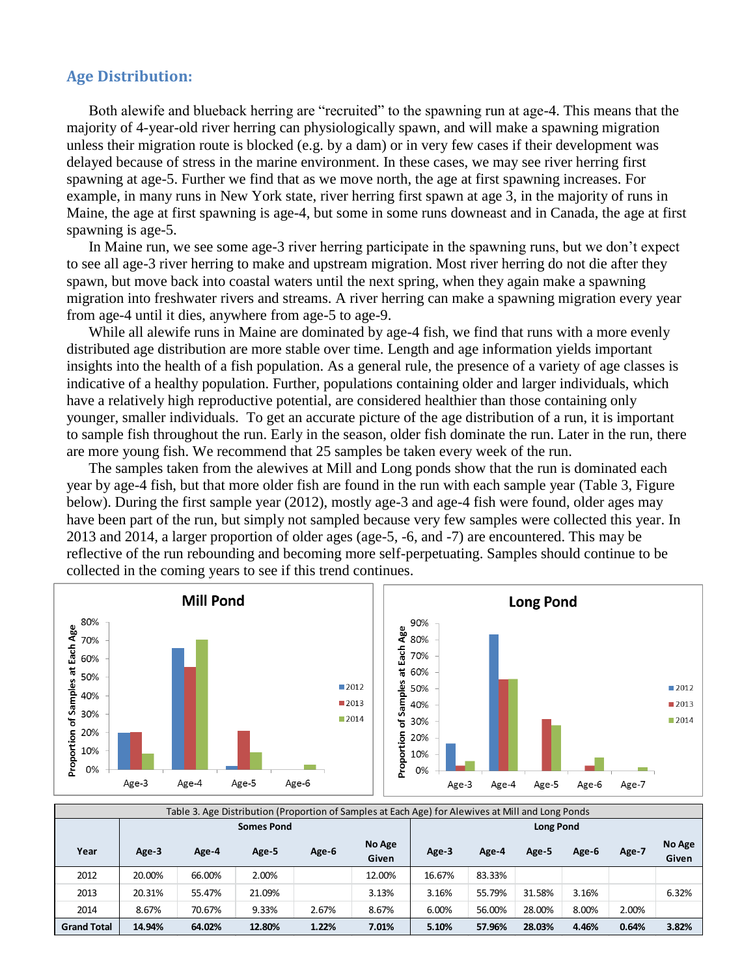## **Age Distribution:**

Both alewife and blueback herring are "recruited" to the spawning run at age-4. This means that the majority of 4-year-old river herring can physiologically spawn, and will make a spawning migration unless their migration route is blocked (e.g. by a dam) or in very few cases if their development was delayed because of stress in the marine environment. In these cases, we may see river herring first spawning at age-5. Further we find that as we move north, the age at first spawning increases. For example, in many runs in New York state, river herring first spawn at age 3, in the majority of runs in Maine, the age at first spawning is age-4, but some in some runs downeast and in Canada, the age at first spawning is age-5.

In Maine run, we see some age-3 river herring participate in the spawning runs, but we don't expect to see all age-3 river herring to make and upstream migration. Most river herring do not die after they spawn, but move back into coastal waters until the next spring, when they again make a spawning migration into freshwater rivers and streams. A river herring can make a spawning migration every year from age-4 until it dies, anywhere from age-5 to age-9.

While all alewife runs in Maine are dominated by age-4 fish, we find that runs with a more evenly distributed age distribution are more stable over time. Length and age information yields important insights into the health of a fish population. As a general rule, the presence of a variety of age classes is indicative of a healthy population. Further, populations containing older and larger individuals, which have a relatively high reproductive potential, are considered healthier than those containing only younger, smaller individuals. To get an accurate picture of the age distribution of a run, it is important to sample fish throughout the run. Early in the season, older fish dominate the run. Later in the run, there are more young fish. We recommend that 25 samples be taken every week of the run.

The samples taken from the alewives at Mill and Long ponds show that the run is dominated each year by age-4 fish, but that more older fish are found in the run with each sample year (Table 3, Figure below). During the first sample year (2012), mostly age-3 and age-4 fish were found, older ages may have been part of the run, but simply not sampled because very few samples were collected this year. In 2013 and 2014, a larger proportion of older ages (age-5, -6, and -7) are encountered. This may be reflective of the run rebounding and becoming more self-perpetuating. Samples should continue to be collected in the coming years to see if this trend continues.



| Table 3. Age Distribution (Proportion of Samples at Each Age) for Alewives at Mill and Long Ponds |                   |        |        |       |                 |           |        |        |       |       |                 |
|---------------------------------------------------------------------------------------------------|-------------------|--------|--------|-------|-----------------|-----------|--------|--------|-------|-------|-----------------|
|                                                                                                   | <b>Somes Pond</b> |        |        |       |                 | Long Pond |        |        |       |       |                 |
| Year                                                                                              | Age-3             | Age-4  | Age-5  | Age-6 | No Age<br>Given | Age-3     | Age-4  | Age-5  | Age-6 | Age-7 | No Age<br>Given |
| 2012                                                                                              | 20.00%            | 66.00% | 2.00%  |       | 12.00%          | 16.67%    | 83.33% |        |       |       |                 |
| 2013                                                                                              | 20.31%            | 55.47% | 21.09% |       | 3.13%           | 3.16%     | 55.79% | 31.58% | 3.16% |       | 6.32%           |
| 2014                                                                                              | 8.67%             | 70.67% | 9.33%  | 2.67% | 8.67%           | 6.00%     | 56.00% | 28.00% | 8.00% | 2.00% |                 |
| <b>Grand Total</b>                                                                                | 14.94%            | 64.02% | 12.80% | 1.22% | 7.01%           | 5.10%     | 57.96% | 28.03% | 4.46% | 0.64% | 3.82%           |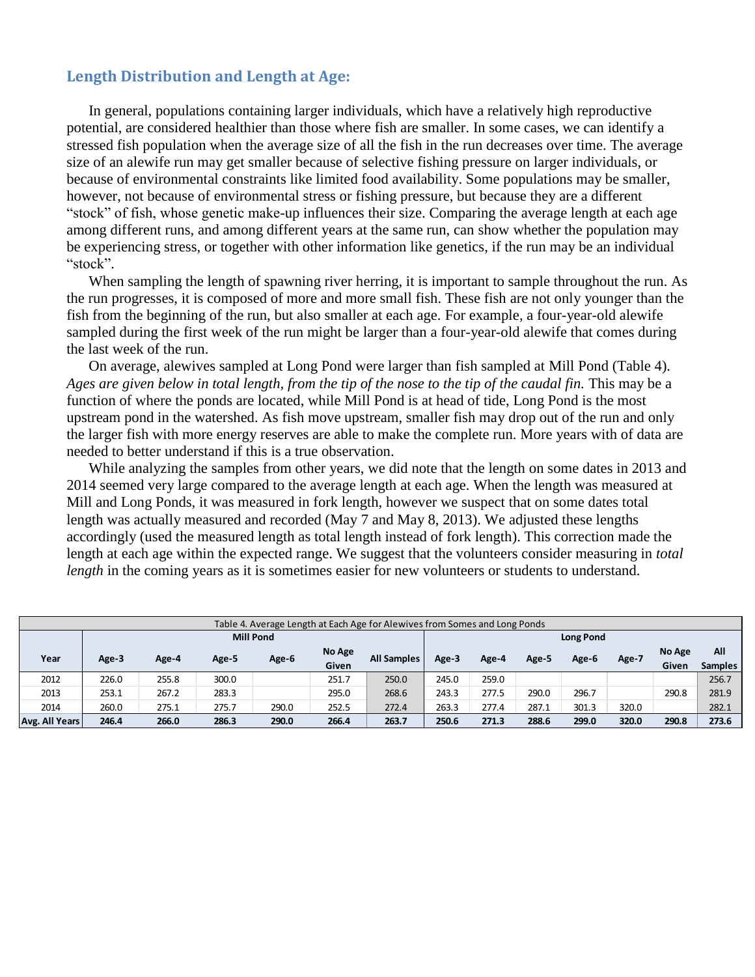# **Length Distribution and Length at Age:**

In general, populations containing larger individuals, which have a relatively high reproductive potential, are considered healthier than those where fish are smaller. In some cases, we can identify a stressed fish population when the average size of all the fish in the run decreases over time. The average size of an alewife run may get smaller because of selective fishing pressure on larger individuals, or because of environmental constraints like limited food availability. Some populations may be smaller, however, not because of environmental stress or fishing pressure, but because they are a different "stock" of fish, whose genetic make-up influences their size. Comparing the average length at each age among different runs, and among different years at the same run, can show whether the population may be experiencing stress, or together with other information like genetics, if the run may be an individual "stock".

When sampling the length of spawning river herring, it is important to sample throughout the run. As the run progresses, it is composed of more and more small fish. These fish are not only younger than the fish from the beginning of the run, but also smaller at each age. For example, a four-year-old alewife sampled during the first week of the run might be larger than a four-year-old alewife that comes during the last week of the run.

On average, alewives sampled at Long Pond were larger than fish sampled at Mill Pond (Table 4). *Ages are given below in total length, from the tip of the nose to the tip of the caudal fin.* This may be a function of where the ponds are located, while Mill Pond is at head of tide, Long Pond is the most upstream pond in the watershed. As fish move upstream, smaller fish may drop out of the run and only the larger fish with more energy reserves are able to make the complete run. More years with of data are needed to better understand if this is a true observation.

While analyzing the samples from other years, we did note that the length on some dates in 2013 and 2014 seemed very large compared to the average length at each age. When the length was measured at Mill and Long Ponds, it was measured in fork length, however we suspect that on some dates total length was actually measured and recorded (May 7 and May 8, 2013). We adjusted these lengths accordingly (used the measured length as total length instead of fork length). This correction made the length at each age within the expected range. We suggest that the volunteers consider measuring in *total length* in the coming years as it is sometimes easier for new volunteers or students to understand.

| Table 4. Average Length at Each Age for Alewives from Somes and Long Ponds |       |       |       |                  |        |                    |       |       |       |       |       |        |                |
|----------------------------------------------------------------------------|-------|-------|-------|------------------|--------|--------------------|-------|-------|-------|-------|-------|--------|----------------|
| <b>Mill Pond</b>                                                           |       |       |       | <b>Long Pond</b> |        |                    |       |       |       |       |       |        |                |
|                                                                            |       |       |       |                  | No Age | <b>All Samples</b> |       |       |       |       |       | No Age | All            |
| Year                                                                       | Age-3 | Age-4 | Age-5 | Age-6            | Given  |                    | Age-3 | Age-4 | Age-5 | Age-6 | Age-7 | Given  | <b>Samples</b> |
| 2012                                                                       | 226.0 | 255.8 | 300.0 |                  | 251.7  | 250.0              | 245.0 | 259.0 |       |       |       |        | 256.7          |
| 2013                                                                       | 253.1 | 267.2 | 283.3 |                  | 295.0  | 268.6              | 243.3 | 277.5 | 290.0 | 296.7 |       | 290.8  | 281.9          |
| 2014                                                                       | 260.0 | 275.1 | 275.7 | 290.0            | 252.5  | 272.4              | 263.3 | 277.4 | 287.1 | 301.3 | 320.0 |        | 282.1          |
| Avg. All Years                                                             | 246.4 | 266.0 | 286.3 | 290.0            | 266.4  | 263.7              | 250.6 | 271.3 | 288.6 | 299.0 | 320.0 | 290.8  | 273.6          |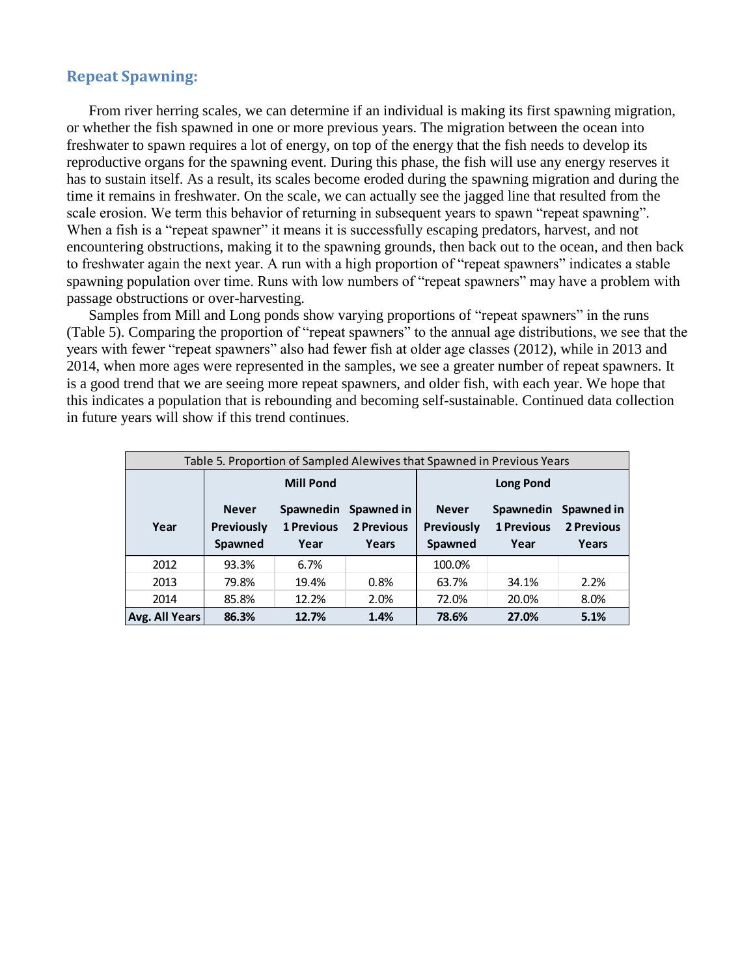# **Repeat Spawning:**

From river herring scales, we can determine if an individual is making its first spawning migration, or whether the fish spawned in one or more previous years. The migration between the ocean into freshwater to spawn requires a lot of energy, on top of the energy that the fish needs to develop its reproductive organs for the spawning event. During this phase, the fish will use any energy reserves it has to sustain itself. As a result, its scales become eroded during the spawning migration and during the time it remains in freshwater. On the scale, we can actually see the jagged line that resulted from the scale erosion. We term this behavior of returning in subsequent years to spawn "repeat spawning". When a fish is a "repeat spawner" it means it is successfully escaping predators, harvest, and not encountering obstructions, making it to the spawning grounds, then back out to the ocean, and then back to freshwater again the next year. A run with a high proportion of "repeat spawners" indicates a stable spawning population over time. Runs with low numbers of "repeat spawners" may have a problem with passage obstructions or over-harvesting.

Samples from Mill and Long ponds show varying proportions of "repeat spawners" in the runs (Table 5). Comparing the proportion of "repeat spawners" to the annual age distributions, we see that the years with fewer "repeat spawners" also had fewer fish at older age classes (2012), while in 2013 and 2014, when more ages were represented in the samples, we see a greater number of repeat spawners. It is a good trend that we are seeing more repeat spawners, and older fish, with each year. We hope that this indicates a population that is rebounding and becoming self-sustainable. Continued data collection in future years will show if this trend continues.

| Table 5. Proportion of Sampled Alewives that Spawned in Previous Years |                                              |                                        |                                   |                                              |                                        |                                   |  |  |  |
|------------------------------------------------------------------------|----------------------------------------------|----------------------------------------|-----------------------------------|----------------------------------------------|----------------------------------------|-----------------------------------|--|--|--|
|                                                                        |                                              | <b>Mill Pond</b>                       |                                   | <b>Long Pond</b>                             |                                        |                                   |  |  |  |
| Year                                                                   | <b>Never</b><br><b>Previously</b><br>Spawned | Spawnedin<br><b>1 Previous</b><br>Year | Spawned in<br>2 Previous<br>Years | <b>Never</b><br><b>Previously</b><br>Spawned | Spawnedin<br><b>1 Previous</b><br>Year | Spawned in<br>2 Previous<br>Years |  |  |  |
| 2012                                                                   | 93.3%                                        | 6.7%                                   |                                   | 100.0%                                       |                                        |                                   |  |  |  |
| 2013                                                                   | 79.8%                                        | 19.4%                                  | 0.8%                              | 63.7%                                        | 34.1%                                  | 2.2%                              |  |  |  |
| 2014                                                                   | 85.8%                                        | 12.2%                                  | 2.0%                              | 72.0%                                        | 20.0%                                  | 8.0%                              |  |  |  |
| Avg. All Years                                                         | 86.3%                                        | 12.7%                                  | 1.4%                              | 78.6%                                        | 27.0%                                  | 5.1%                              |  |  |  |